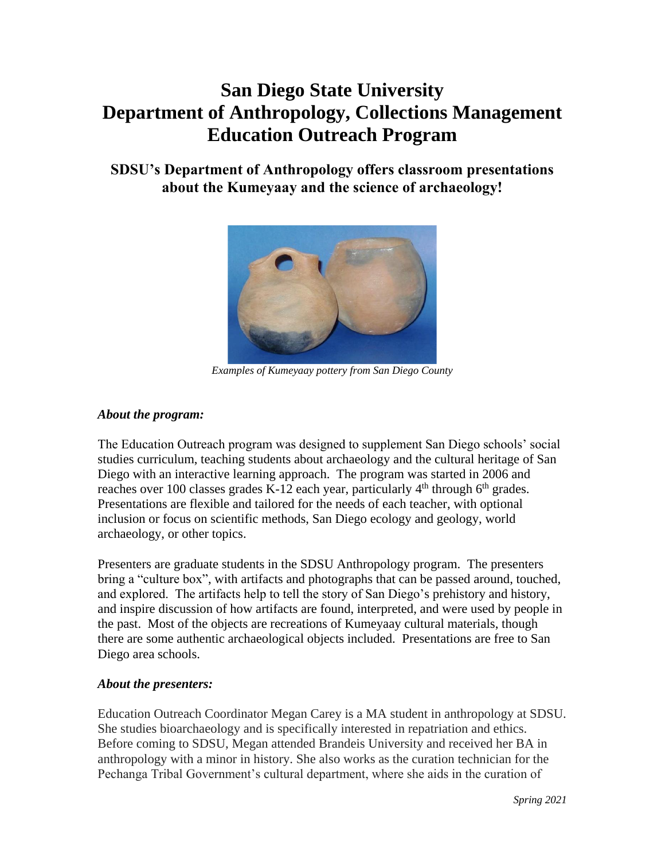# **San Diego State University Department of Anthropology, Collections Management Education Outreach Program**

## **SDSU's Department of Anthropology offers classroom presentations about the Kumeyaay and the science of archaeology!**



*Examples of Kumeyaay pottery from San Diego County* 

### *About the program:*

 The Education Outreach program was designed to supplement San Diego schools' social studies curriculum, teaching students about archaeology and the cultural heritage of San Diego with an interactive learning approach. The program was started in 2006 and reaches over 100 classes grades K-12 each year, particularly  $4<sup>th</sup>$  through  $6<sup>th</sup>$  grades. Presentations are flexible and tailored for the needs of each teacher, with optional inclusion or focus on scientific methods, San Diego ecology and geology, world archaeology, or other topics.

Presenters are graduate students in the SDSU Anthropology program. The presenters bring a "culture box", with artifacts and photographs that can be passed around, touched, and explored. The artifacts help to tell the story of San Diego's prehistory and history, and inspire discussion of how artifacts are found, interpreted, and were used by people in the past. Most of the objects are recreations of Kumeyaay cultural materials, though there are some authentic archaeological objects included. Presentations are free to San Diego area schools.

### *About the presenters:*

Education Outreach Coordinator Megan Carey is a MA student in anthropology at SDSU. She studies bioarchaeology and is specifically interested in repatriation and ethics. Before coming to SDSU, Megan attended Brandeis University and received her BA in anthropology with a minor in history. She also works as the curation technician for the Pechanga Tribal Government's cultural department, where she aids in the curation of